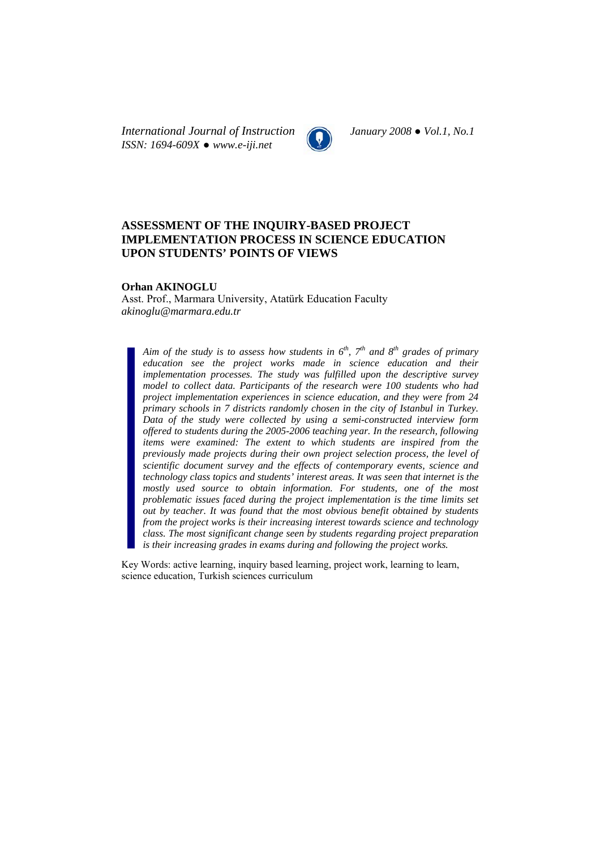*International Journal of Instruction January 2008 ● Vol.1, No.1 ISSN: 1694-609X ● www.e-iji.net* 



# **ASSESSMENT OF THE INQUIRY-BASED PROJECT IMPLEMENTATION PROCESS IN SCIENCE EDUCATION UPON STUDENTS' POINTS OF VIEWS**

#### **Orhan AKINOGLU**

Asst. Prof., Marmara University, Atatürk Education Faculty *akinoglu@marmara.edu.tr* 

*Aim of the study is to assess how students in*  $6<sup>th</sup>$ *,*  $7<sup>th</sup>$  *and*  $8<sup>th</sup>$  *grades of primary education see the project works made in science education and their implementation processes. The study was fulfilled upon the descriptive survey model to collect data. Participants of the research were 100 students who had project implementation experiences in science education, and they were from 24 primary schools in 7 districts randomly chosen in the city of Istanbul in Turkey. Data of the study were collected by using a semi-constructed interview form offered to students during the 2005-2006 teaching year. In the research, following items were examined: The extent to which students are inspired from the previously made projects during their own project selection process, the level of scientific document survey and the effects of contemporary events, science and technology class topics and students' interest areas. It was seen that internet is the*  mostly used source to obtain information. For students, one of the most *problematic issues faced during the project implementation is the time limits set out by teacher. It was found that the most obvious benefit obtained by students from the project works is their increasing interest towards science and technology class. The most significant change seen by students regarding project preparation is their increasing grades in exams during and following the project works.* 

Key Words: active learning, inquiry based learning, project work, learning to learn, science education, Turkish sciences curriculum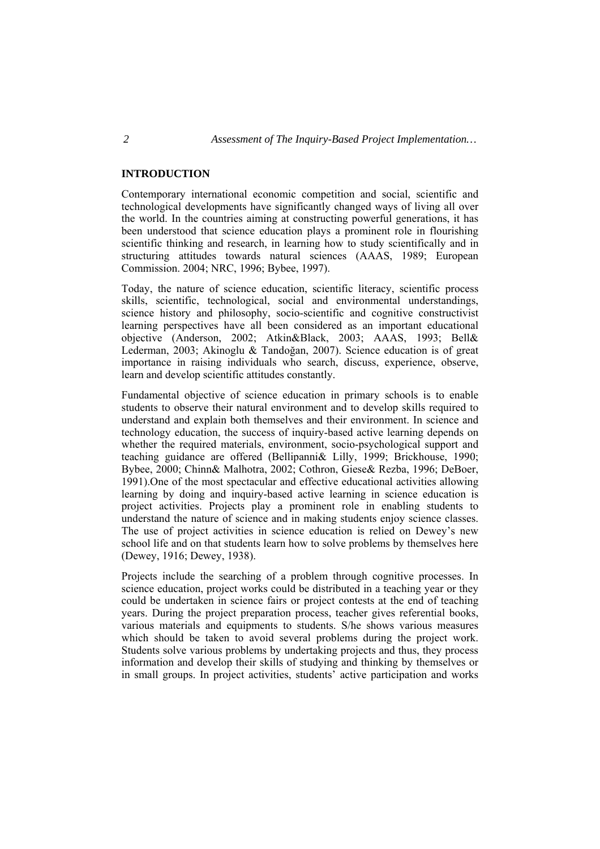#### **INTRODUCTION**

Contemporary international economic competition and social, scientific and technological developments have significantly changed ways of living all over the world. In the countries aiming at constructing powerful generations, it has been understood that science education plays a prominent role in flourishing scientific thinking and research, in learning how to study scientifically and in structuring attitudes towards natural sciences (AAAS, 1989; European Commission. 2004; NRC, 1996; Bybee, 1997).

Today, the nature of science education, scientific literacy, scientific process skills, scientific, technological, social and environmental understandings, science history and philosophy, socio-scientific and cognitive constructivist learning perspectives have all been considered as an important educational objective (Anderson, 2002; Atkin&Black, 2003; AAAS, 1993; Bell& Lederman, 2003; Akinoglu & Tandoğan, 2007). Science education is of great importance in raising individuals who search, discuss, experience, observe, learn and develop scientific attitudes constantly.

Fundamental objective of science education in primary schools is to enable students to observe their natural environment and to develop skills required to understand and explain both themselves and their environment. In science and technology education, the success of inquiry-based active learning depends on whether the required materials, environment, socio-psychological support and teaching guidance are offered (Bellipanni& Lilly, 1999; Brickhouse, 1990; Bybee, 2000; Chinn& Malhotra, 2002; Cothron, Giese& Rezba, 1996; DeBoer, 1991).One of the most spectacular and effective educational activities allowing learning by doing and inquiry-based active learning in science education is project activities. Projects play a prominent role in enabling students to understand the nature of science and in making students enjoy science classes. The use of project activities in science education is relied on Dewey's new school life and on that students learn how to solve problems by themselves here (Dewey, 1916; Dewey, 1938).

Projects include the searching of a problem through cognitive processes. In science education, project works could be distributed in a teaching year or they could be undertaken in science fairs or project contests at the end of teaching years. During the project preparation process, teacher gives referential books, various materials and equipments to students. S/he shows various measures which should be taken to avoid several problems during the project work. Students solve various problems by undertaking projects and thus, they process information and develop their skills of studying and thinking by themselves or in small groups. In project activities, students' active participation and works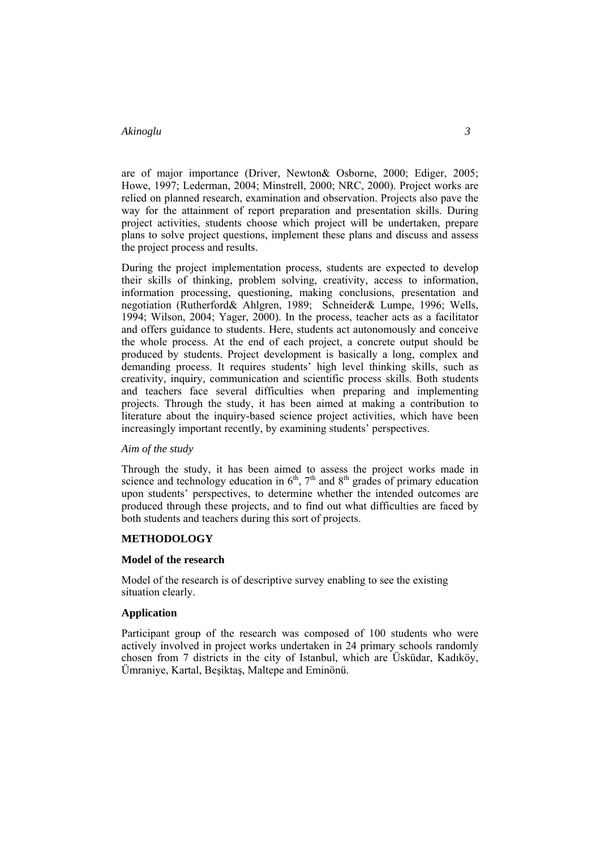are of major importance (Driver, Newton& Osborne, 2000; Ediger, 2005; Howe, 1997; Lederman, 2004; Minstrell, 2000; NRC, 2000). Project works are relied on planned research, examination and observation. Projects also pave the way for the attainment of report preparation and presentation skills. During project activities, students choose which project will be undertaken, prepare plans to solve project questions, implement these plans and discuss and assess the project process and results.

During the project implementation process, students are expected to develop their skills of thinking, problem solving, creativity, access to information, information processing, questioning, making conclusions, presentation and negotiation (Rutherford& Ahlgren, 1989; Schneider& Lumpe, 1996; Wells, 1994; Wilson, 2004; Yager, 2000). In the process, teacher acts as a facilitator and offers guidance to students. Here, students act autonomously and conceive the whole process. At the end of each project, a concrete output should be produced by students. Project development is basically a long, complex and demanding process. It requires students' high level thinking skills, such as creativity, inquiry, communication and scientific process skills. Both students and teachers face several difficulties when preparing and implementing projects. Through the study, it has been aimed at making a contribution to literature about the inquiry-based science project activities, which have been increasingly important recently, by examining students' perspectives.

#### *Aim of the study*

Through the study, it has been aimed to assess the project works made in science and technology education in  $6<sup>th</sup>$ ,  $7<sup>th</sup>$  and  $8<sup>th</sup>$  grades of primary education upon students' perspectives, to determine whether the intended outcomes are produced through these projects, and to find out what difficulties are faced by both students and teachers during this sort of projects.

#### **METHODOLOGY**

#### **Model of the research**

Model of the research is of descriptive survey enabling to see the existing situation clearly.

#### **Application**

Participant group of the research was composed of 100 students who were actively involved in project works undertaken in 24 primary schools randomly chosen from 7 districts in the city of Istanbul, which are Üsküdar, Kadıköy, Ümraniye, Kartal, Beşiktaş, Maltepe and Eminönü.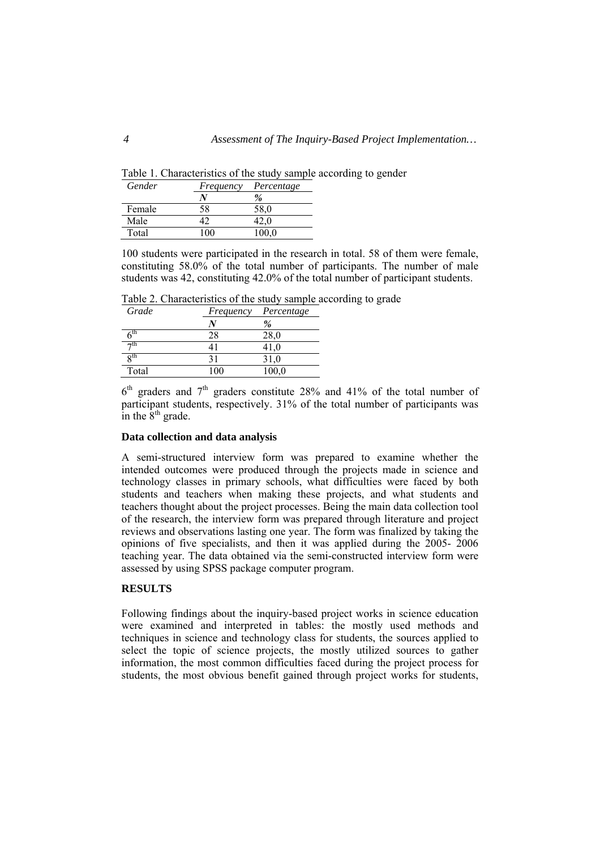Table 1. Characteristics of the study sample according to gender

| Gender | Frequency | Percentage |
|--------|-----------|------------|
|        |           | $\%$       |
| Female | 58        | 58.0       |
| Male   |           | 42.0       |
| Total  | 100       | 100.0      |

100 students were participated in the research in total. 58 of them were female, constituting 58.0% of the total number of participants. The number of male students was 42, constituting 42.0% of the total number of participant students.

Table 2. Characteristics of the study sample according to grade

| Grade                    | Frequency | Percentage |
|--------------------------|-----------|------------|
|                          |           | $\%$       |
| $\bar{6}^{\text{th}}$    | 28        | 28,0       |
| $\neg$ th                |           | 41,0       |
| $\mathbf{g}^{\text{th}}$ |           | 31,0       |
| Total                    | 100       | 100,0      |

 $6<sup>th</sup>$  graders and  $7<sup>th</sup>$  graders constitute 28% and 41% of the total number of participant students, respectively. 31% of the total number of participants was in the  $8<sup>th</sup>$  grade.

### **Data collection and data analysis**

A semi-structured interview form was prepared to examine whether the intended outcomes were produced through the projects made in science and technology classes in primary schools, what difficulties were faced by both students and teachers when making these projects, and what students and teachers thought about the project processes. Being the main data collection tool of the research, the interview form was prepared through literature and project reviews and observations lasting one year. The form was finalized by taking the opinions of five specialists, and then it was applied during the 2005- 2006 teaching year. The data obtained via the semi-constructed interview form were assessed by using SPSS package computer program.

#### **RESULTS**

Following findings about the inquiry-based project works in science education were examined and interpreted in tables: the mostly used methods and techniques in science and technology class for students, the sources applied to select the topic of science projects, the mostly utilized sources to gather information, the most common difficulties faced during the project process for students, the most obvious benefit gained through project works for students,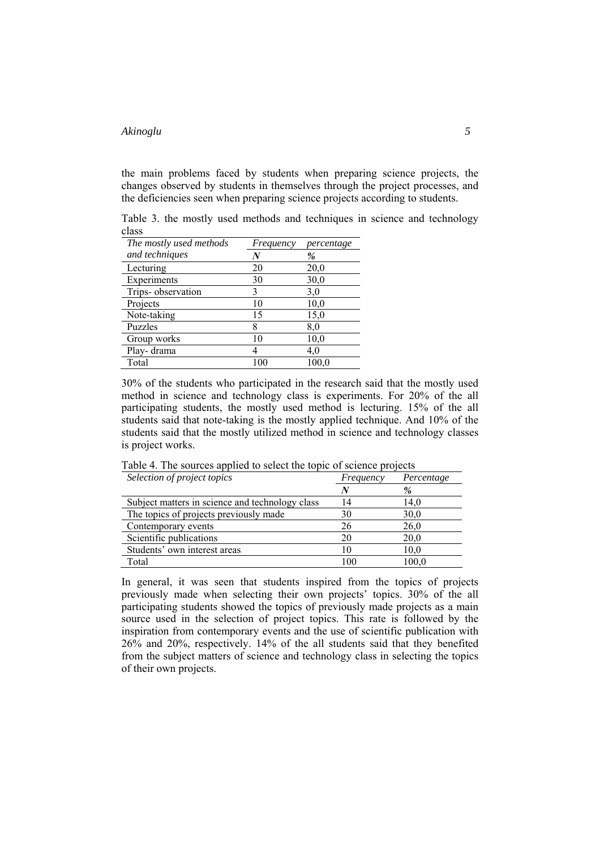the main problems faced by students when preparing science projects, the changes observed by students in themselves through the project processes, and the deficiencies seen when preparing science projects according to students.

Table 3. the mostly used methods and techniques in science and technology class

| The mostly used methods | Frequency | percentage |
|-------------------------|-----------|------------|
| and techniques          | N         | $\%$       |
| Lecturing               | 20        | 20,0       |
| Experiments             | 30        | 30,0       |
| Trips-observation       | 3         | 3,0        |
| Projects                | 10        | 10,0       |
| Note-taking             | 15        | 15,0       |
| Puzzles                 | 8         | 8,0        |
| Group works             | 10        | 10,0       |
| Play-drama              |           | 4.0        |
| Total                   |           | 100.0      |

30% of the students who participated in the research said that the mostly used method in science and technology class is experiments. For 20% of the all participating students, the mostly used method is lecturing. 15% of the all students said that note-taking is the mostly applied technique. And 10% of the students said that the mostly utilized method in science and technology classes is project works.

| Selection of project topics                     | Frequency | Percentage |
|-------------------------------------------------|-----------|------------|
|                                                 |           | %          |
| Subject matters in science and technology class | 14        | 14.0       |
| The topics of projects previously made          | 30        | 30,0       |
| Contemporary events                             | 26        | 26,0       |
| Scientific publications                         | 20        | 20,0       |
| Students' own interest areas                    | 10        | 10,0       |
| Total                                           | 100       | 100,0      |

Table 4. The sources applied to select the topic of science projects

In general, it was seen that students inspired from the topics of projects previously made when selecting their own projects' topics. 30% of the all participating students showed the topics of previously made projects as a main source used in the selection of project topics. This rate is followed by the inspiration from contemporary events and the use of scientific publication with 26% and 20%, respectively. 14% of the all students said that they benefited from the subject matters of science and technology class in selecting the topics of their own projects.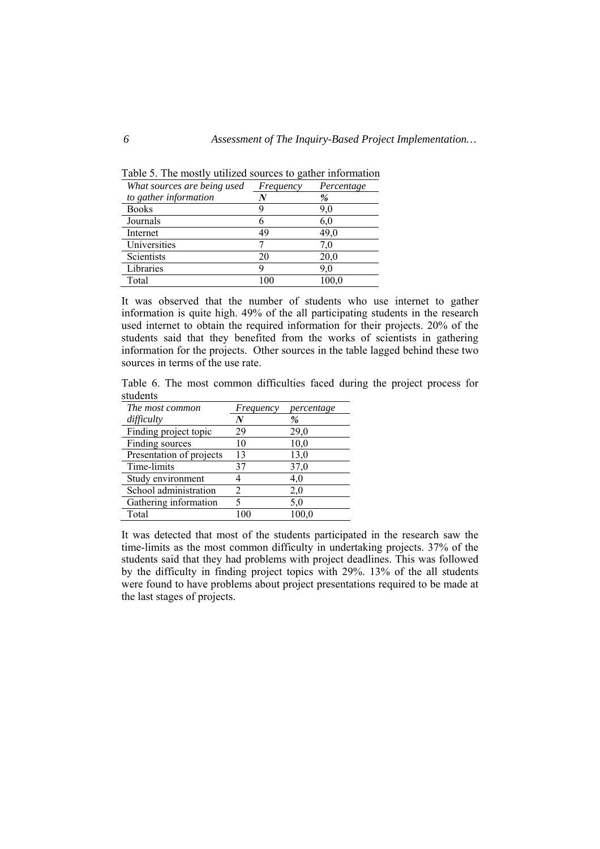| What sources are being used | Frequency | Percentage |
|-----------------------------|-----------|------------|
| to gather information       |           | %          |
| <b>Books</b>                |           | 9,0        |
| Journals                    | n         | 6,0        |
| Internet                    | 49        | 49.0       |
| Universities                |           | 7.0        |
| Scientists                  | 20        | 20,0       |
| Libraries                   |           | 9.0        |
| Total                       |           | 100.0      |

Table 5. The mostly utilized sources to gather information

It was observed that the number of students who use internet to gather information is quite high. 49% of the all participating students in the research used internet to obtain the required information for their projects. 20% of the students said that they benefited from the works of scientists in gathering information for the projects. Other sources in the table lagged behind these two sources in terms of the use rate.

Table 6. The most common difficulties faced during the project process for students

| The most common          | Frequency | percentage |
|--------------------------|-----------|------------|
| difficulty               |           | %          |
| Finding project topic    | 29        | 29,0       |
| Finding sources          | 10        | 10,0       |
| Presentation of projects | 13        | 13,0       |
| Time-limits              | 37        | 37,0       |
| Study environment        |           | 4,0        |
| School administration    |           | 2,0        |
| Gathering information    |           | 5.0        |
| Total                    |           | 100.0      |

It was detected that most of the students participated in the research saw the time-limits as the most common difficulty in undertaking projects. 37% of the students said that they had problems with project deadlines. This was followed by the difficulty in finding project topics with 29%. 13% of the all students were found to have problems about project presentations required to be made at the last stages of projects.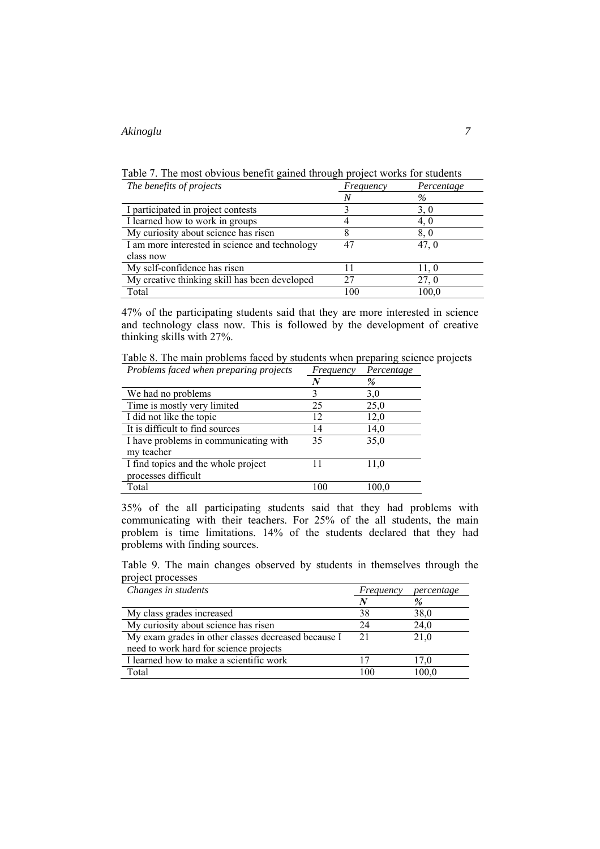Table 7. The most obvious benefit gained through project works for students

| The benefits of projects                       | Frequency | Percentage |
|------------------------------------------------|-----------|------------|
|                                                |           | $\%$       |
| I participated in project contests             |           | 3,0        |
| I learned how to work in groups                |           | 4, 0       |
| My curiosity about science has risen           |           | 8.0        |
| I am more interested in science and technology |           | 47.0       |
| class now                                      |           |            |
| My self-confidence has risen                   |           | 11.0       |
| My creative thinking skill has been developed  | 27        | 27, 0      |
| Total                                          | 00        | 100,0      |

47% of the participating students said that they are more interested in science and technology class now. This is followed by the development of creative thinking skills with 27%.

Table 8. The main problems faced by students when preparing science projects *Problems faced when preparing projects Frequency Percentage* 

|                                       | N   | %     |
|---------------------------------------|-----|-------|
| We had no problems                    |     | 3,0   |
| Time is mostly very limited           | 25  | 25,0  |
| I did not like the topic              | 12  | 12,0  |
| It is difficult to find sources       | 14  | 14,0  |
| I have problems in communicating with | 35  | 35,0  |
| my teacher                            |     |       |
| I find topics and the whole project   |     | 11,0  |
| processes difficult                   |     |       |
| Total                                 | 100 | 100,0 |

35% of the all participating students said that they had problems with communicating with their teachers. For 25% of the all students, the main problem is time limitations. 14% of the students declared that they had problems with finding sources.

Table 9. The main changes observed by students in themselves through the project processes

| Changes in students                                 | Frequency | percentage |
|-----------------------------------------------------|-----------|------------|
|                                                     |           | %          |
| My class grades increased                           | 38        | 38,0       |
| My curiosity about science has risen                | 24        | 24,0       |
| My exam grades in other classes decreased because I | 21        | 21,0       |
| need to work hard for science projects              |           |            |
| I learned how to make a scientific work             |           | 17,0       |
| Total                                               | 100       | 100.0      |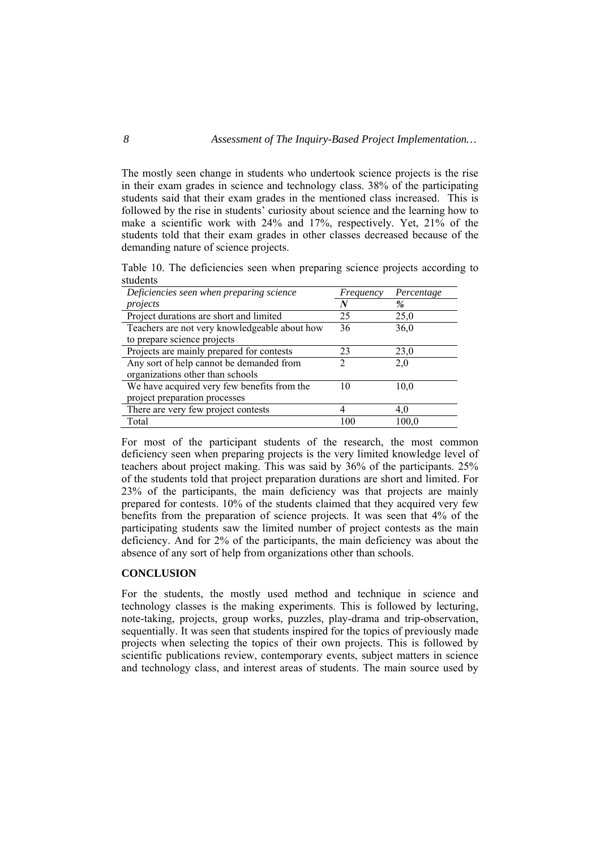The mostly seen change in students who undertook science projects is the rise in their exam grades in science and technology class. 38% of the participating students said that their exam grades in the mentioned class increased. This is followed by the rise in students' curiosity about science and the learning how to make a scientific work with 24% and 17%, respectively. Yet, 21% of the students told that their exam grades in other classes decreased because of the demanding nature of science projects.

Table 10. The deficiencies seen when preparing science projects according to students

| Deficiencies seen when preparing science      | Frequency | Percentage |
|-----------------------------------------------|-----------|------------|
| projects                                      | N         | %          |
| Project durations are short and limited       | 25        | 25,0       |
| Teachers are not very knowledgeable about how | 36        | 36,0       |
| to prepare science projects                   |           |            |
| Projects are mainly prepared for contests     | 23        | 23,0       |
| Any sort of help cannot be demanded from      |           | 2,0        |
| organizations other than schools              |           |            |
| We have acquired very few benefits from the   | 10        | 10,0       |
| project preparation processes                 |           |            |
| There are very few project contests           |           | 4,0        |
| Total                                         | 100       | 100.0      |

For most of the participant students of the research, the most common deficiency seen when preparing projects is the very limited knowledge level of teachers about project making. This was said by 36% of the participants. 25% of the students told that project preparation durations are short and limited. For 23% of the participants, the main deficiency was that projects are mainly prepared for contests. 10% of the students claimed that they acquired very few benefits from the preparation of science projects. It was seen that 4% of the participating students saw the limited number of project contests as the main deficiency. And for 2% of the participants, the main deficiency was about the absence of any sort of help from organizations other than schools.

#### **CONCLUSION**

For the students, the mostly used method and technique in science and technology classes is the making experiments. This is followed by lecturing, note-taking, projects, group works, puzzles, play-drama and trip-observation, sequentially. It was seen that students inspired for the topics of previously made projects when selecting the topics of their own projects. This is followed by scientific publications review, contemporary events, subject matters in science and technology class, and interest areas of students. The main source used by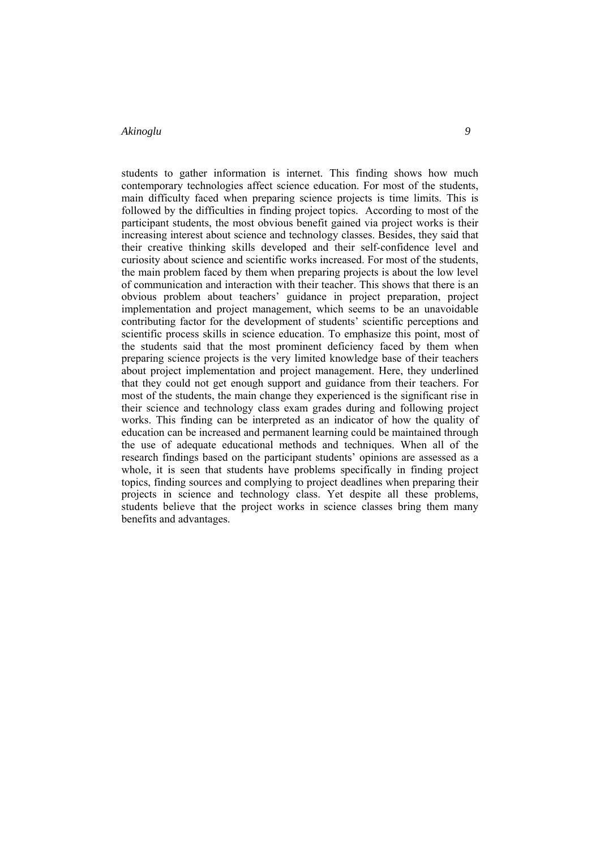students to gather information is internet. This finding shows how much contemporary technologies affect science education. For most of the students, main difficulty faced when preparing science projects is time limits. This is followed by the difficulties in finding project topics. According to most of the participant students, the most obvious benefit gained via project works is their increasing interest about science and technology classes. Besides, they said that their creative thinking skills developed and their self-confidence level and curiosity about science and scientific works increased. For most of the students, the main problem faced by them when preparing projects is about the low level of communication and interaction with their teacher. This shows that there is an obvious problem about teachers' guidance in project preparation, project implementation and project management, which seems to be an unavoidable contributing factor for the development of students' scientific perceptions and scientific process skills in science education. To emphasize this point, most of the students said that the most prominent deficiency faced by them when preparing science projects is the very limited knowledge base of their teachers about project implementation and project management. Here, they underlined that they could not get enough support and guidance from their teachers. For most of the students, the main change they experienced is the significant rise in their science and technology class exam grades during and following project works. This finding can be interpreted as an indicator of how the quality of education can be increased and permanent learning could be maintained through the use of adequate educational methods and techniques. When all of the research findings based on the participant students' opinions are assessed as a whole, it is seen that students have problems specifically in finding project topics, finding sources and complying to project deadlines when preparing their projects in science and technology class. Yet despite all these problems, students believe that the project works in science classes bring them many benefits and advantages.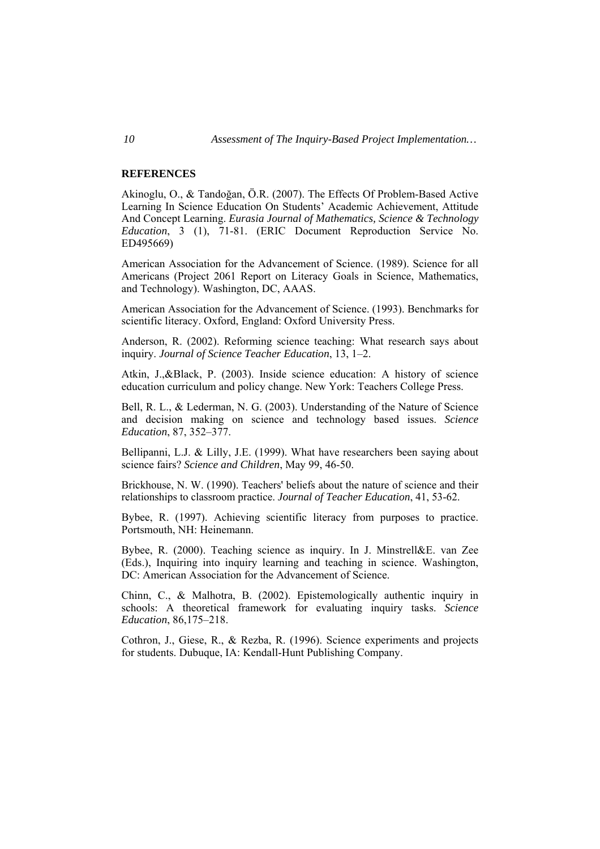#### **REFERENCES**

Akinoglu, O., & Tandoğan, Ö.R. (2007). The Effects Of Problem-Based Active Learning In Science Education On Students' Academic Achievement, Attitude And Concept Learning. *Eurasia Journal of Mathematics, Science & Technology Education*, 3 (1), 71-81. (ERIC Document Reproduction Service No. ED495669)

American Association for the Advancement of Science. (1989). Science for all Americans (Project 2061 Report on Literacy Goals in Science, Mathematics, and Technology). Washington, DC, AAAS.

American Association for the Advancement of Science. (1993). Benchmarks for scientific literacy. Oxford, England: Oxford University Press.

Anderson, R. (2002). Reforming science teaching: What research says about inquiry. *Journal of Science Teacher Education*, 13, 1–2.

Atkin, J.,&Black, P. (2003). Inside science education: A history of science education curriculum and policy change. New York: Teachers College Press.

Bell, R. L., & Lederman, N. G. (2003). Understanding of the Nature of Science and decision making on science and technology based issues. *Science Education*, 87, 352–377.

Bellipanni, L.J. & Lilly, J.E. (1999). What have researchers been saying about science fairs? *Science and Children*, May 99, 46-50.

Brickhouse, N. W. (1990). Teachers' beliefs about the nature of science and their relationships to classroom practice. *Journal of Teacher Education*, 41, 53-62.

Bybee, R. (1997). Achieving scientific literacy from purposes to practice. Portsmouth, NH: Heinemann.

Bybee, R. (2000). Teaching science as inquiry. In J. Minstrell&E. van Zee (Eds.), Inquiring into inquiry learning and teaching in science. Washington, DC: American Association for the Advancement of Science.

Chinn, C., & Malhotra, B. (2002). Epistemologically authentic inquiry in schools: A theoretical framework for evaluating inquiry tasks. *Science Education*, 86,175–218.

Cothron, J., Giese, R., & Rezba, R. (1996). Science experiments and projects for students. Dubuque, IA: Kendall-Hunt Publishing Company.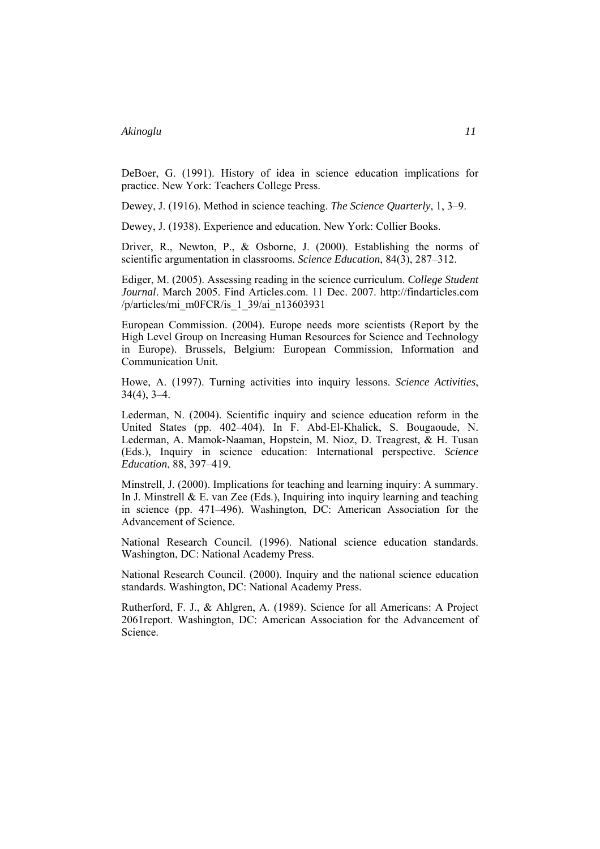DeBoer, G. (1991). History of idea in science education implications for practice. New York: Teachers College Press.

Dewey, J. (1916). Method in science teaching. *The Science Quarterly*, 1, 3–9.

Dewey, J. (1938). Experience and education. New York: Collier Books.

Driver, R., Newton, P., & Osborne, J. (2000). Establishing the norms of scientific argumentation in classrooms. *Science Education*, 84(3), 287–312.

Ediger, M. (2005). Assessing reading in the science curriculum. *College Student Journal*. March 2005. Find Articles.com. 11 Dec. 2007. http://findarticles.com /p/articles/mi\_m0FCR/is\_1\_39/ai\_n13603931

European Commission. (2004). Europe needs more scientists (Report by the High Level Group on Increasing Human Resources for Science and Technology in Europe). Brussels, Belgium: European Commission, Information and Communication Unit.

Howe, A. (1997). Turning activities into inquiry lessons. *Science Activities*, 34(4), 3–4.

Lederman, N. (2004). Scientific inquiry and science education reform in the United States (pp. 402–404). In F. Abd-El-Khalick, S. Bougaoude, N. Lederman, A. Mamok-Naaman, Hopstein, M. Nioz, D. Treagrest, & H. Tusan (Eds.), Inquiry in science education: International perspective. *Science Education*, 88, 397–419.

Minstrell, J. (2000). Implications for teaching and learning inquiry: A summary. In J. Minstrell  $& E.$  van Zee (Eds.), Inquiring into inquiry learning and teaching in science (pp. 471–496). Washington, DC: American Association for the Advancement of Science.

National Research Council. (1996). National science education standards. Washington, DC: National Academy Press.

National Research Council. (2000). Inquiry and the national science education standards. Washington, DC: National Academy Press.

Rutherford, F. J., & Ahlgren, A. (1989). Science for all Americans: A Project 2061report. Washington, DC: American Association for the Advancement of Science.